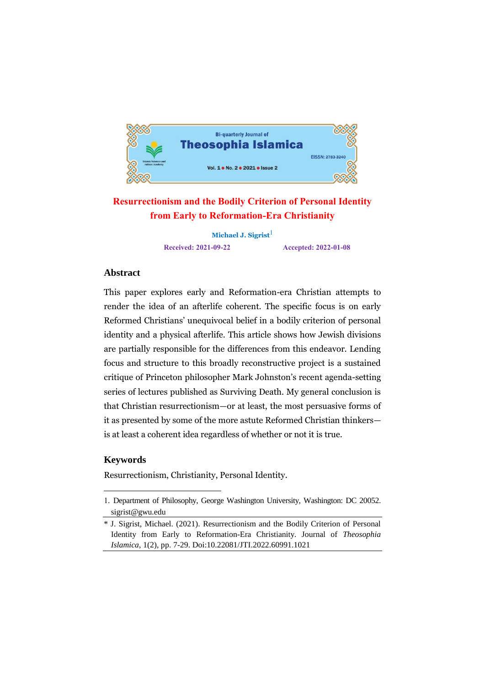

# **Resurrectionism and the Bodily Criterion of Personal Identity from Early to Reformation-Era Christianity**

**Michael J. Sigrist Received: 2021-09-22 Accepted: 2022-01-08**

## **Abstract**

This paper explores early and Reformation-era Christian attempts to render the idea of an afterlife coherent. The specific focus is on early Reformed Christians' unequivocal belief in a bodily criterion of personal identity and a physical afterlife. This article shows how Jewish divisions are partially responsible for the differences from this endeavor. Lending focus and structure to this broadly reconstructive project is a sustained critique of Princeton philosopher Mark Johnston's recent agenda-setting series of lectures published as Surviving Death. My general conclusion is that Christian resurrectionism—or at least, the most persuasive forms of it as presented by some of the more astute Reformed Christian thinkers is at least a coherent idea regardless of whether or not it is true.

#### **Keywords**

<u>.</u>

Resurrectionism, Christianity, Personal Identity.

<sup>1.</sup> Department of Philosophy, George Washington University, Washington: DC 20052. sigrist@gwu.edu

<sup>\*</sup> J. Sigrist, Michael. (2021). Resurrectionism and the Bodily Criterion of Personal Identity from Early to Reformation-Era Christianity. Journal of *Theosophia Islamica*, 1(2), pp. 7-29. Doi:10.22081/JTI.2022.60991.1021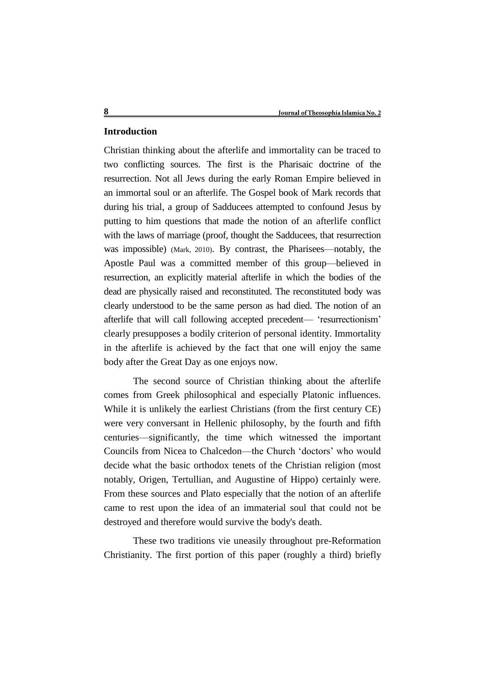#### **Introduction**

Christian thinking about the afterlife and immortality can be traced to two conflicting sources. The first is the Pharisaic doctrine of the resurrection. Not all Jews during the early Roman Empire believed in an immortal soul or an afterlife. The Gospel book of Mark records that during his trial, a group of Sadducees attempted to confound Jesus by putting to him questions that made the notion of an afterlife conflict with the laws of marriage (proof, thought the Sadducees, that resurrection was impossible) (Mark, 2010). By contrast, the Pharisees—notably, the Apostle Paul was a committed member of this group—believed in resurrection, an explicitly material afterlife in which the bodies of the dead are physically raised and reconstituted. The reconstituted body was clearly understood to be the same person as had died. The notion of an afterlife that will call following accepted precedent— 'resurrectionism' clearly presupposes a bodily criterion of personal identity. Immortality in the afterlife is achieved by the fact that one will enjoy the same body after the Great Day as one enjoys now.

The second source of Christian thinking about the afterlife comes from Greek philosophical and especially Platonic influences. While it is unlikely the earliest Christians (from the first century CE) were very conversant in Hellenic philosophy, by the fourth and fifth centuries—significantly, the time which witnessed the important Councils from Nicea to Chalcedon—the Church 'doctors' who would decide what the basic orthodox tenets of the Christian religion (most notably, Origen, Tertullian, and Augustine of Hippo) certainly were. From these sources and Plato especially that the notion of an afterlife came to rest upon the idea of an immaterial soul that could not be destroyed and therefore would survive the body's death.

These two traditions vie uneasily throughout pre-Reformation Christianity. The first portion of this paper (roughly a third) briefly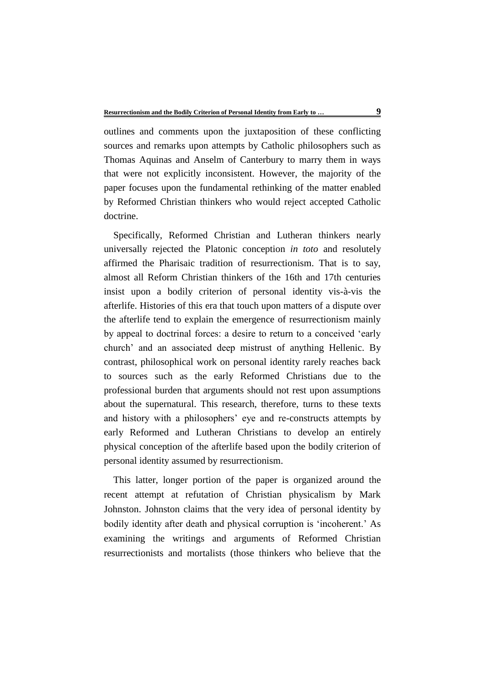outlines and comments upon the juxtaposition of these conflicting sources and remarks upon attempts by Catholic philosophers such as Thomas Aquinas and Anselm of Canterbury to marry them in ways that were not explicitly inconsistent. However, the majority of the paper focuses upon the fundamental rethinking of the matter enabled by Reformed Christian thinkers who would reject accepted Catholic doctrine.

Specifically, Reformed Christian and Lutheran thinkers nearly universally rejected the Platonic conception *in toto* and resolutely affirmed the Pharisaic tradition of resurrectionism. That is to say, almost all Reform Christian thinkers of the 16th and 17th centuries insist upon a bodily criterion of personal identity vis-à-vis the afterlife. Histories of this era that touch upon matters of a dispute over the afterlife tend to explain the emergence of resurrectionism mainly by appeal to doctrinal forces: a desire to return to a conceived 'early church' and an associated deep mistrust of anything Hellenic. By contrast, philosophical work on personal identity rarely reaches back to sources such as the early Reformed Christians due to the professional burden that arguments should not rest upon assumptions about the supernatural. This research, therefore, turns to these texts and history with a philosophers' eye and re-constructs attempts by early Reformed and Lutheran Christians to develop an entirely physical conception of the afterlife based upon the bodily criterion of personal identity assumed by resurrectionism.

This latter, longer portion of the paper is organized around the recent attempt at refutation of Christian physicalism by Mark Johnston. Johnston claims that the very idea of personal identity by bodily identity after death and physical corruption is 'incoherent.' As examining the writings and arguments of Reformed Christian resurrectionists and mortalists (those thinkers who believe that the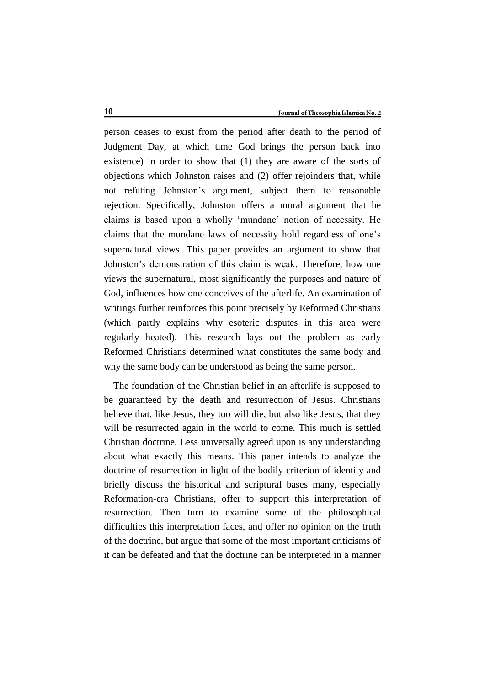person ceases to exist from the period after death to the period of Judgment Day, at which time God brings the person back into existence) in order to show that (1) they are aware of the sorts of objections which Johnston raises and (2) offer rejoinders that, while not refuting Johnston's argument, subject them to reasonable rejection. Specifically, Johnston offers a moral argument that he claims is based upon a wholly 'mundane' notion of necessity. He claims that the mundane laws of necessity hold regardless of one's supernatural views. This paper provides an argument to show that Johnston's demonstration of this claim is weak. Therefore, how one views the supernatural, most significantly the purposes and nature of God, influences how one conceives of the afterlife. An examination of writings further reinforces this point precisely by Reformed Christians (which partly explains why esoteric disputes in this area were regularly heated). This research lays out the problem as early Reformed Christians determined what constitutes the same body and why the same body can be understood as being the same person.

The foundation of the Christian belief in an afterlife is supposed to be guaranteed by the death and resurrection of Jesus. Christians believe that, like Jesus, they too will die, but also like Jesus, that they will be resurrected again in the world to come. This much is settled Christian doctrine. Less universally agreed upon is any understanding about what exactly this means. This paper intends to analyze the doctrine of resurrection in light of the bodily criterion of identity and briefly discuss the historical and scriptural bases many, especially Reformation-era Christians, offer to support this interpretation of resurrection. Then turn to examine some of the philosophical difficulties this interpretation faces, and offer no opinion on the truth of the doctrine, but argue that some of the most important criticisms of it can be defeated and that the doctrine can be interpreted in a manner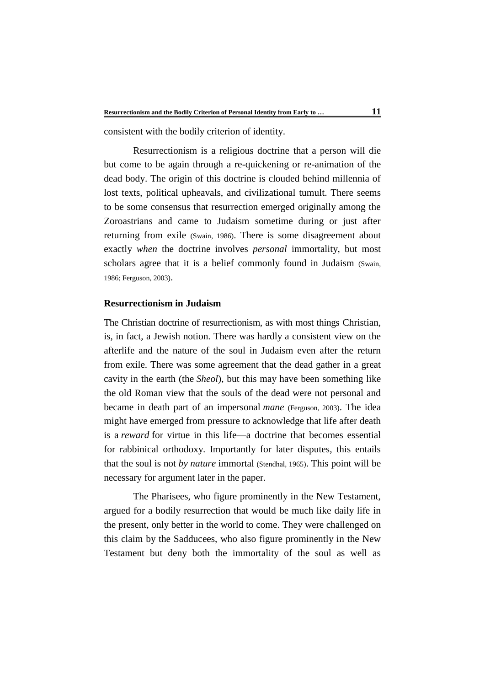consistent with the bodily criterion of identity.

Resurrectionism is a religious doctrine that a person will die but come to be again through a re-quickening or re-animation of the dead body. The origin of this doctrine is clouded behind millennia of lost texts, political upheavals, and civilizational tumult. There seems to be some consensus that resurrection emerged originally among the Zoroastrians and came to Judaism sometime during or just after returning from exile (Swain, 1986). There is some disagreement about exactly *when* the doctrine involves *personal* immortality, but most scholars agree that it is a belief commonly found in Judaism (Swain, 1986; Ferguson, 2003).

### **Resurrectionism in Judaism**

The Christian doctrine of resurrectionism, as with most things Christian, is, in fact, a Jewish notion. There was hardly a consistent view on the afterlife and the nature of the soul in Judaism even after the return from exile. There was some agreement that the dead gather in a great cavity in the earth (the *Sheol*), but this may have been something like the old Roman view that the souls of the dead were not personal and became in death part of an impersonal *mane* (Ferguson, 2003). The idea might have emerged from pressure to acknowledge that life after death is a *reward* for virtue in this life—a doctrine that becomes essential for rabbinical orthodoxy. Importantly for later disputes, this entails that the soul is not *by nature* immortal (Stendhal, 1965). This point will be necessary for argument later in the paper.

The Pharisees, who figure prominently in the New Testament, argued for a bodily resurrection that would be much like daily life in the present, only better in the world to come. They were challenged on this claim by the Sadducees, who also figure prominently in the New Testament but deny both the immortality of the soul as well as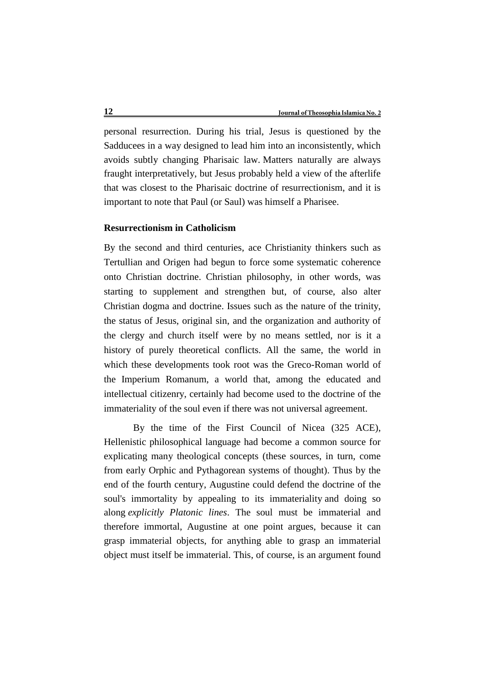personal resurrection. During his trial, Jesus is questioned by the Sadducees in a way designed to lead him into an inconsistently, which avoids subtly changing Pharisaic law. Matters naturally are always fraught interpretatively, but Jesus probably held a view of the afterlife that was closest to the Pharisaic doctrine of resurrectionism, and it is important to note that Paul (or Saul) was himself a Pharisee.

# **Resurrectionism in Catholicism**

By the second and third centuries, ace Christianity thinkers such as Tertullian and Origen had begun to force some systematic coherence onto Christian doctrine. Christian philosophy, in other words, was starting to supplement and strengthen but, of course, also alter Christian dogma and doctrine. Issues such as the nature of the trinity, the status of Jesus, original sin, and the organization and authority of the clergy and church itself were by no means settled, nor is it a history of purely theoretical conflicts. All the same, the world in which these developments took root was the Greco-Roman world of the Imperium Romanum, a world that, among the educated and intellectual citizenry, certainly had become used to the doctrine of the immateriality of the soul even if there was not universal agreement.

By the time of the First Council of Nicea (325 ACE), Hellenistic philosophical language had become a common source for explicating many theological concepts (these sources, in turn, come from early Orphic and Pythagorean systems of thought). Thus by the end of the fourth century, Augustine could defend the doctrine of the soul's immortality by appealing to its immateriality and doing so along *explicitly Platonic lines*. The soul must be immaterial and therefore immortal, Augustine at one point argues, because it can grasp immaterial objects, for anything able to grasp an immaterial object must itself be immaterial. This, of course, is an argument found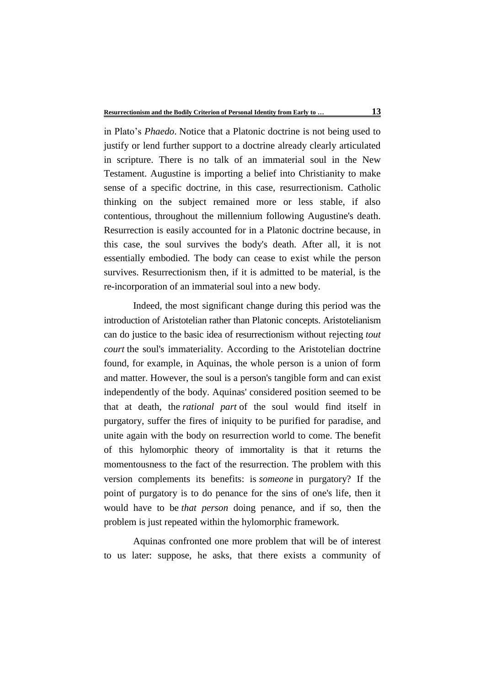in Plato's *Phaedo*. Notice that a Platonic doctrine is not being used to justify or lend further support to a doctrine already clearly articulated in scripture. There is no talk of an immaterial soul in the New Testament. Augustine is importing a belief into Christianity to make sense of a specific doctrine, in this case, resurrectionism. Catholic thinking on the subject remained more or less stable, if also contentious, throughout the millennium following Augustine's death. Resurrection is easily accounted for in a Platonic doctrine because, in this case, the soul survives the body's death. After all, it is not essentially embodied. The body can cease to exist while the person survives. Resurrectionism then, if it is admitted to be material, is the re-incorporation of an immaterial soul into a new body.

Indeed, the most significant change during this period was the introduction of Aristotelian rather than Platonic concepts. Aristotelianism can do justice to the basic idea of resurrectionism without rejecting *tout court* the soul's immateriality. According to the Aristotelian doctrine found, for example, in Aquinas, the whole person is a union of form and matter. However, the soul is a person's tangible form and can exist independently of the body. Aquinas' considered position seemed to be that at death, the *rational part* of the soul would find itself in purgatory, suffer the fires of iniquity to be purified for paradise, and unite again with the body on resurrection world to come. The benefit of this hylomorphic theory of immortality is that it returns the momentousness to the fact of the resurrection. The problem with this version complements its benefits: is *someone* in purgatory? If the point of purgatory is to do penance for the sins of one's life, then it would have to be *that person* doing penance, and if so, then the problem is just repeated within the hylomorphic framework.

Aquinas confronted one more problem that will be of interest to us later: suppose, he asks, that there exists a community of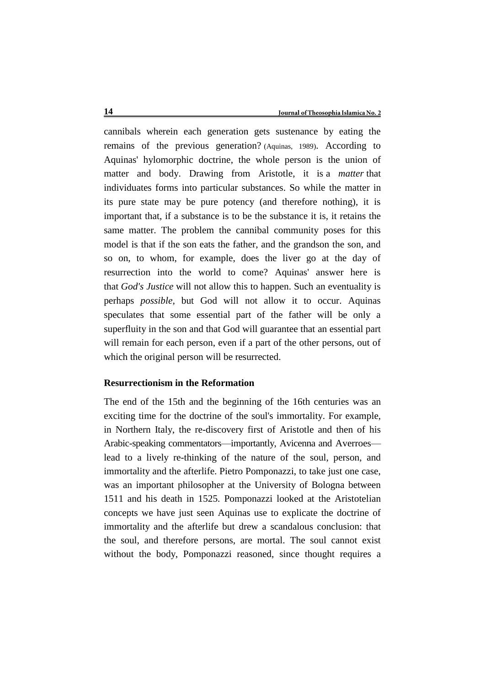cannibals wherein each generation gets sustenance by eating the remains of the previous generation? (Aquinas, 1989). According to Aquinas' hylomorphic doctrine, the whole person is the union of matter and body. Drawing from Aristotle, it is a *matter* that individuates forms into particular substances. So while the matter in its pure state may be pure potency (and therefore nothing), it is important that, if a substance is to be the substance it is, it retains the same matter. The problem the cannibal community poses for this model is that if the son eats the father, and the grandson the son, and so on, to whom, for example, does the liver go at the day of resurrection into the world to come? Aquinas' answer here is that *God's Justice* will not allow this to happen. Such an eventuality is perhaps *possible*, but God will not allow it to occur. Aquinas speculates that some essential part of the father will be only a superfluity in the son and that God will guarantee that an essential part will remain for each person, even if a part of the other persons, out of which the original person will be resurrected.

### **Resurrectionism in the Reformation**

The end of the 15th and the beginning of the 16th centuries was an exciting time for the doctrine of the soul's immortality. For example, in Northern Italy, the re-discovery first of Aristotle and then of his Arabic-speaking commentators—importantly, Avicenna and Averroes lead to a lively re-thinking of the nature of the soul, person, and immortality and the afterlife. Pietro Pomponazzi, to take just one case, was an important philosopher at the University of Bologna between 1511 and his death in 1525. Pomponazzi looked at the Aristotelian concepts we have just seen Aquinas use to explicate the doctrine of immortality and the afterlife but drew a scandalous conclusion: that the soul, and therefore persons, are mortal. The soul cannot exist without the body, Pomponazzi reasoned, since thought requires a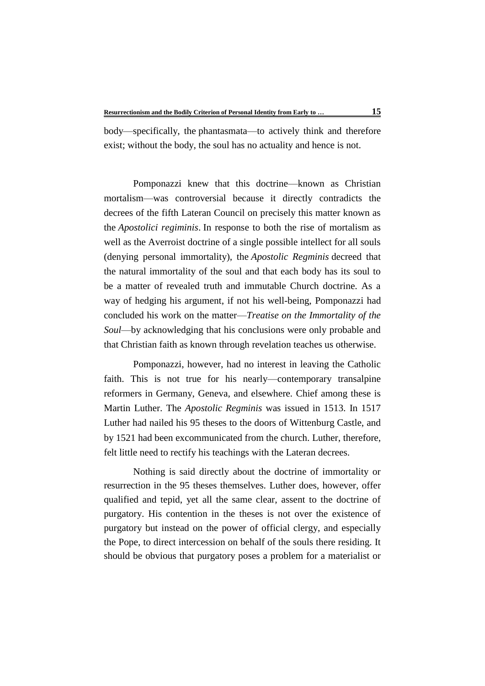body—specifically, the phantasmata—to actively think and therefore exist; without the body, the soul has no actuality and hence is not.

Pomponazzi knew that this doctrine—known as Christian mortalism—was controversial because it directly contradicts the decrees of the fifth Lateran Council on precisely this matter known as the *Apostolici regiminis*. In response to both the rise of mortalism as well as the Averroist doctrine of a single possible intellect for all souls (denying personal immortality), the *Apostolic Regminis* decreed that the natural immortality of the soul and that each body has its soul to be a matter of revealed truth and immutable Church doctrine. As a way of hedging his argument, if not his well-being, Pomponazzi had concluded his work on the matter—*Treatise on the Immortality of the Soul*—by acknowledging that his conclusions were only probable and that Christian faith as known through revelation teaches us otherwise.

Pomponazzi, however, had no interest in leaving the Catholic faith. This is not true for his nearly—contemporary transalpine reformers in Germany, Geneva, and elsewhere. Chief among these is Martin Luther. The *Apostolic Regminis* was issued in 1513. In 1517 Luther had nailed his 95 theses to the doors of Wittenburg Castle, and by 1521 had been excommunicated from the church. Luther, therefore, felt little need to rectify his teachings with the Lateran decrees.

Nothing is said directly about the doctrine of immortality or resurrection in the 95 theses themselves. Luther does, however, offer qualified and tepid, yet all the same clear, assent to the doctrine of purgatory. His contention in the theses is not over the existence of purgatory but instead on the power of official clergy, and especially the Pope, to direct intercession on behalf of the souls there residing. It should be obvious that purgatory poses a problem for a materialist or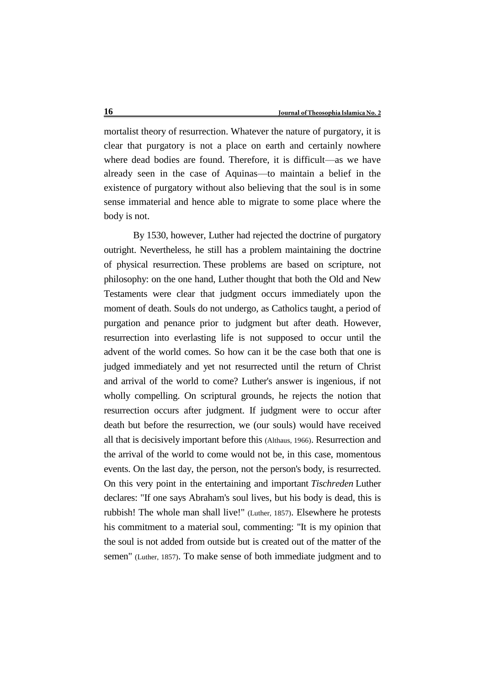mortalist theory of resurrection. Whatever the nature of purgatory, it is clear that purgatory is not a place on earth and certainly nowhere where dead bodies are found. Therefore, it is difficult—as we have already seen in the case of Aquinas—to maintain a belief in the existence of purgatory without also believing that the soul is in some sense immaterial and hence able to migrate to some place where the body is not.

By 1530, however, Luther had rejected the doctrine of purgatory outright. Nevertheless, he still has a problem maintaining the doctrine of physical resurrection. These problems are based on scripture, not philosophy: on the one hand, Luther thought that both the Old and New Testaments were clear that judgment occurs immediately upon the moment of death. Souls do not undergo, as Catholics taught, a period of purgation and penance prior to judgment but after death. However, resurrection into everlasting life is not supposed to occur until the advent of the world comes. So how can it be the case both that one is judged immediately and yet not resurrected until the return of Christ and arrival of the world to come? Luther's answer is ingenious, if not wholly compelling. On scriptural grounds, he rejects the notion that resurrection occurs after judgment. If judgment were to occur after death but before the resurrection, we (our souls) would have received all that is decisively important before this (Althaus, 1966). Resurrection and the arrival of the world to come would not be, in this case, momentous events. On the last day, the person, not the person's body, is resurrected. On this very point in the entertaining and important *Tischreden* Luther declares: "If one says Abraham's soul lives, but his body is dead, this is rubbish! The whole man shall live!" (Luther, 1857). Elsewhere he protests his commitment to a material soul, commenting: "It is my opinion that the soul is not added from outside but is created out of the matter of the semen" (Luther, 1857). To make sense of both immediate judgment and to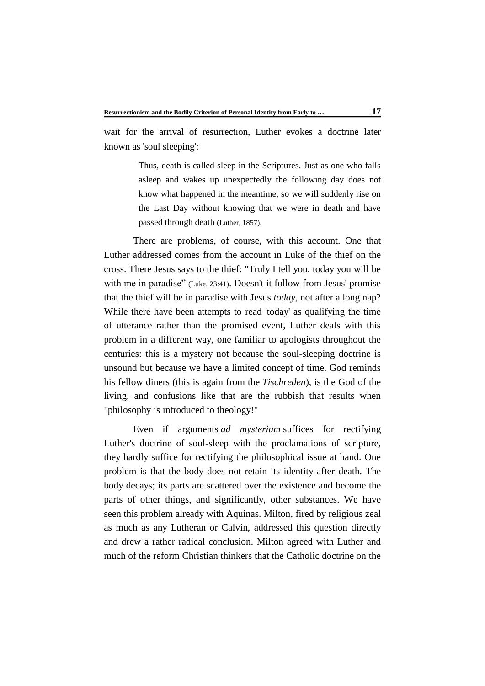wait for the arrival of resurrection, Luther evokes a doctrine later known as 'soul sleeping':

> Thus, death is called sleep in the Scriptures. Just as one who falls asleep and wakes up unexpectedly the following day does not know what happened in the meantime, so we will suddenly rise on the Last Day without knowing that we were in death and have passed through death (Luther, 1857).

There are problems, of course, with this account. One that Luther addressed comes from the account in Luke of the thief on the cross. There Jesus says to the thief: "Truly I tell you, today you will be with me in paradise" (Luke. 23:41). Doesn't it follow from Jesus' promise that the thief will be in paradise with Jesus *today*, not after a long nap? While there have been attempts to read 'today' as qualifying the time of utterance rather than the promised event, Luther deals with this problem in a different way, one familiar to apologists throughout the centuries: this is a mystery not because the soul-sleeping doctrine is unsound but because we have a limited concept of time. God reminds his fellow diners (this is again from the *Tischreden*), is the God of the living, and confusions like that are the rubbish that results when "philosophy is introduced to theology!"

Even if arguments *ad mysterium* suffices for rectifying Luther's doctrine of soul-sleep with the proclamations of scripture, they hardly suffice for rectifying the philosophical issue at hand. One problem is that the body does not retain its identity after death. The body decays; its parts are scattered over the existence and become the parts of other things, and significantly, other substances. We have seen this problem already with Aquinas. Milton, fired by religious zeal as much as any Lutheran or Calvin, addressed this question directly and drew a rather radical conclusion. Milton agreed with Luther and much of the reform Christian thinkers that the Catholic doctrine on the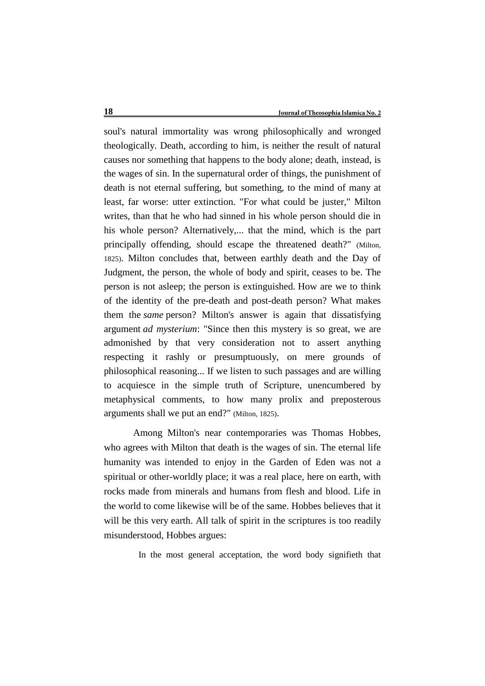soul's natural immortality was wrong philosophically and wronged theologically. Death, according to him, is neither the result of natural causes nor something that happens to the body alone; death, instead, is the wages of sin. In the supernatural order of things, the punishment of death is not eternal suffering, but something, to the mind of many at least, far worse: utter extinction. "For what could be juster," Milton writes, than that he who had sinned in his whole person should die in his whole person? Alternatively,... that the mind, which is the part principally offending, should escape the threatened death?" (Milton, 1825). Milton concludes that, between earthly death and the Day of Judgment, the person, the whole of body and spirit, ceases to be. The person is not asleep; the person is extinguished. How are we to think of the identity of the pre-death and post-death person? What makes them the *same* person? Milton's answer is again that dissatisfying argument *ad mysterium*: "Since then this mystery is so great, we are admonished by that very consideration not to assert anything respecting it rashly or presumptuously, on mere grounds of philosophical reasoning... If we listen to such passages and are willing to acquiesce in the simple truth of Scripture, unencumbered by metaphysical comments, to how many prolix and preposterous arguments shall we put an end?" (Milton, 1825).

Among Milton's near contemporaries was Thomas Hobbes, who agrees with Milton that death is the wages of sin. The eternal life humanity was intended to enjoy in the Garden of Eden was not a spiritual or other-worldly place; it was a real place, here on earth, with rocks made from minerals and humans from flesh and blood. Life in the world to come likewise will be of the same. Hobbes believes that it will be this very earth. All talk of spirit in the scriptures is too readily misunderstood, Hobbes argues:

In the most general acceptation, the word body signifieth that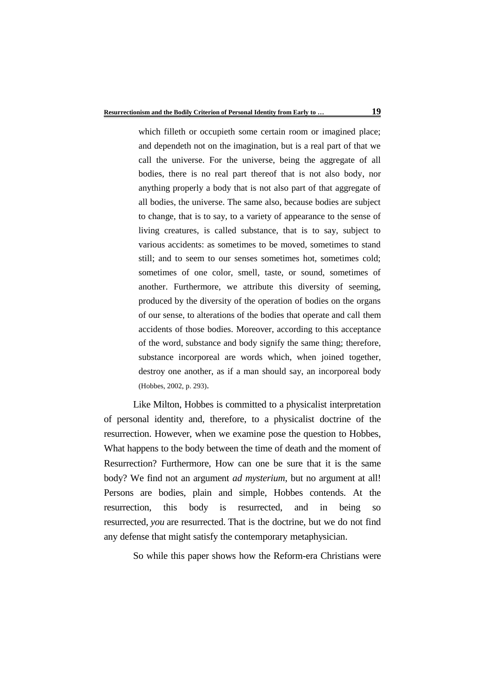which filleth or occupieth some certain room or imagined place; and dependeth not on the imagination, but is a real part of that we call the universe. For the universe, being the aggregate of all bodies, there is no real part thereof that is not also body, nor anything properly a body that is not also part of that aggregate of all bodies, the universe. The same also, because bodies are subject to change, that is to say, to a variety of appearance to the sense of living creatures, is called substance, that is to say, subject to various accidents: as sometimes to be moved, sometimes to stand still; and to seem to our senses sometimes hot, sometimes cold; sometimes of one color, smell, taste, or sound, sometimes of another. Furthermore, we attribute this diversity of seeming, produced by the diversity of the operation of bodies on the organs of our sense, to alterations of the bodies that operate and call them accidents of those bodies. Moreover, according to this acceptance of the word, substance and body signify the same thing; therefore, substance incorporeal are words which, when joined together, destroy one another, as if a man should say, an incorporeal body (Hobbes, 2002, p. 293).

Like Milton, Hobbes is committed to a physicalist interpretation of personal identity and, therefore, to a physicalist doctrine of the resurrection. However, when we examine pose the question to Hobbes, What happens to the body between the time of death and the moment of Resurrection? Furthermore, How can one be sure that it is the same body? We find not an argument *ad mysterium*, but no argument at all! Persons are bodies, plain and simple, Hobbes contends. At the resurrection, this body is resurrected, and in being so resurrected, *you* are resurrected. That is the doctrine, but we do not find any defense that might satisfy the contemporary metaphysician.

So while this paper shows how the Reform-era Christians were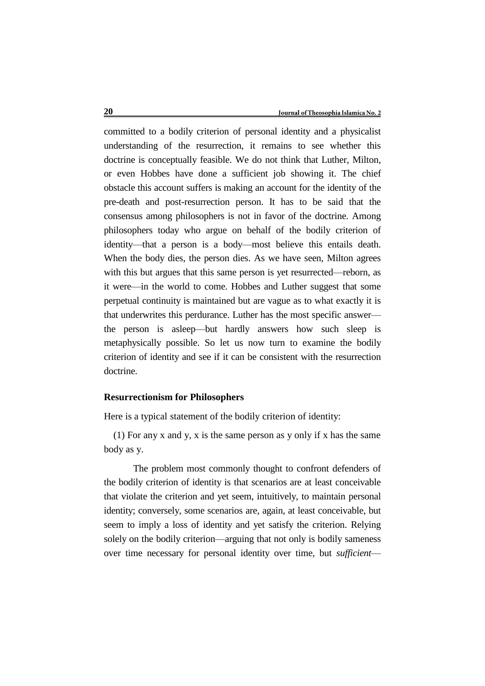committed to a bodily criterion of personal identity and a physicalist understanding of the resurrection, it remains to see whether this doctrine is conceptually feasible. We do not think that Luther, Milton, or even Hobbes have done a sufficient job showing it. The chief obstacle this account suffers is making an account for the identity of the pre-death and post-resurrection person. It has to be said that the consensus among philosophers is not in favor of the doctrine. Among philosophers today who argue on behalf of the bodily criterion of identity—that a person is a body—most believe this entails death. When the body dies, the person dies. As we have seen, Milton agrees with this but argues that this same person is yet resurrected—reborn, as it were—in the world to come. Hobbes and Luther suggest that some perpetual continuity is maintained but are vague as to what exactly it is that underwrites this perdurance. Luther has the most specific answer the person is asleep—but hardly answers how such sleep is metaphysically possible. So let us now turn to examine the bodily criterion of identity and see if it can be consistent with the resurrection doctrine.

## **Resurrectionism for Philosophers**

Here is a typical statement of the bodily criterion of identity:

(1) For any x and y, x is the same person as y only if x has the same body as y.

The problem most commonly thought to confront defenders of the bodily criterion of identity is that scenarios are at least conceivable that violate the criterion and yet seem, intuitively, to maintain personal identity; conversely, some scenarios are, again, at least conceivable, but seem to imply a loss of identity and yet satisfy the criterion. Relying solely on the bodily criterion—arguing that not only is bodily sameness over time necessary for personal identity over time, but *sufficient*—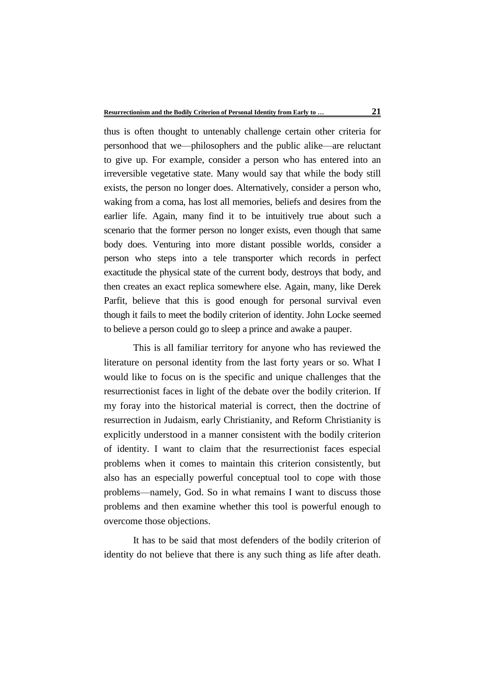thus is often thought to untenably challenge certain other criteria for personhood that we—philosophers and the public alike—are reluctant to give up. For example, consider a person who has entered into an irreversible vegetative state. Many would say that while the body still exists, the person no longer does. Alternatively, consider a person who, waking from a coma, has lost all memories, beliefs and desires from the earlier life. Again, many find it to be intuitively true about such a scenario that the former person no longer exists, even though that same body does. Venturing into more distant possible worlds, consider a person who steps into a tele transporter which records in perfect exactitude the physical state of the current body, destroys that body, and then creates an exact replica somewhere else. Again, many, like Derek Parfit, believe that this is good enough for personal survival even though it fails to meet the bodily criterion of identity. John Locke seemed to believe a person could go to sleep a prince and awake a pauper.

This is all familiar territory for anyone who has reviewed the literature on personal identity from the last forty years or so. What I would like to focus on is the specific and unique challenges that the resurrectionist faces in light of the debate over the bodily criterion. If my foray into the historical material is correct, then the doctrine of resurrection in Judaism, early Christianity, and Reform Christianity is explicitly understood in a manner consistent with the bodily criterion of identity. I want to claim that the resurrectionist faces especial problems when it comes to maintain this criterion consistently, but also has an especially powerful conceptual tool to cope with those problems—namely, God. So in what remains I want to discuss those problems and then examine whether this tool is powerful enough to overcome those objections.

It has to be said that most defenders of the bodily criterion of identity do not believe that there is any such thing as life after death.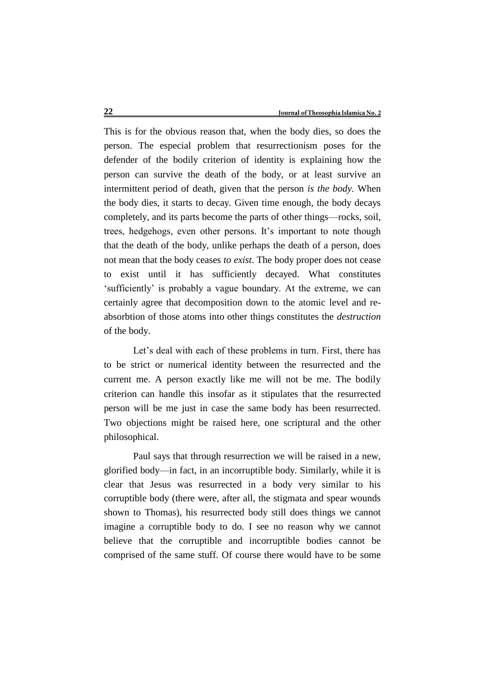This is for the obvious reason that, when the body dies, so does the person. The especial problem that resurrectionism poses for the defender of the bodily criterion of identity is explaining how the person can survive the death of the body, or at least survive an intermittent period of death, given that the person *is the body*. When the body dies, it starts to decay. Given time enough, the body decays completely, and its parts become the parts of other things—rocks, soil, trees, hedgehogs, even other persons. It's important to note though that the death of the body, unlike perhaps the death of a person, does not mean that the body ceases *to exist*. The body proper does not cease to exist until it has sufficiently decayed. What constitutes 'sufficiently' is probably a vague boundary. At the extreme, we can certainly agree that decomposition down to the atomic level and reabsorbtion of those atoms into other things constitutes the *destruction* of the body.

Let's deal with each of these problems in turn. First, there has to be strict or numerical identity between the resurrected and the current me. A person exactly like me will not be me. The bodily criterion can handle this insofar as it stipulates that the resurrected person will be me just in case the same body has been resurrected. Two objections might be raised here, one scriptural and the other philosophical.

Paul says that through resurrection we will be raised in a new, glorified body—in fact, in an incorruptible body. Similarly, while it is clear that Jesus was resurrected in a body very similar to his corruptible body (there were, after all, the stigmata and spear wounds shown to Thomas), his resurrected body still does things we cannot imagine a corruptible body to do. I see no reason why we cannot believe that the corruptible and incorruptible bodies cannot be comprised of the same stuff. Of course there would have to be some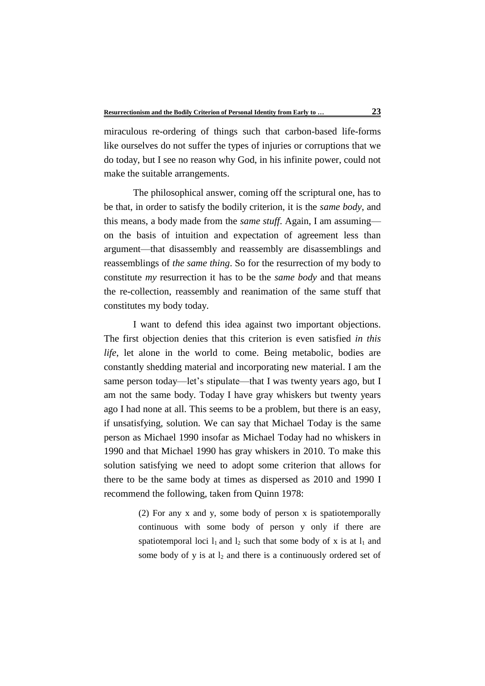miraculous re-ordering of things such that carbon-based life-forms like ourselves do not suffer the types of injuries or corruptions that we do today, but I see no reason why God, in his infinite power, could not make the suitable arrangements.

The philosophical answer, coming off the scriptural one, has to be that, in order to satisfy the bodily criterion, it is the *same body*, and this means, a body made from the *same stuff*. Again, I am assuming on the basis of intuition and expectation of agreement less than argument—that disassembly and reassembly are disassemblings and reassemblings of *the same thing*. So for the resurrection of my body to constitute *my* resurrection it has to be the *same body* and that means the re-collection, reassembly and reanimation of the same stuff that constitutes my body today.

I want to defend this idea against two important objections. The first objection denies that this criterion is even satisfied *in this life*, let alone in the world to come. Being metabolic, bodies are constantly shedding material and incorporating new material. I am the same person today—let's stipulate—that I was twenty years ago, but I am not the same body. Today I have gray whiskers but twenty years ago I had none at all. This seems to be a problem, but there is an easy, if unsatisfying, solution. We can say that Michael Today is the same person as Michael 1990 insofar as Michael Today had no whiskers in 1990 and that Michael 1990 has gray whiskers in 2010. To make this solution satisfying we need to adopt some criterion that allows for there to be the same body at times as dispersed as 2010 and 1990 I recommend the following, taken from Quinn 1978:

> (2) For any x and y, some body of person x is spatiotemporally continuous with some body of person y only if there are spatiotemporal loci  $l_1$  and  $l_2$  such that some body of x is at  $l_1$  and some body of y is at  $l_2$  and there is a continuously ordered set of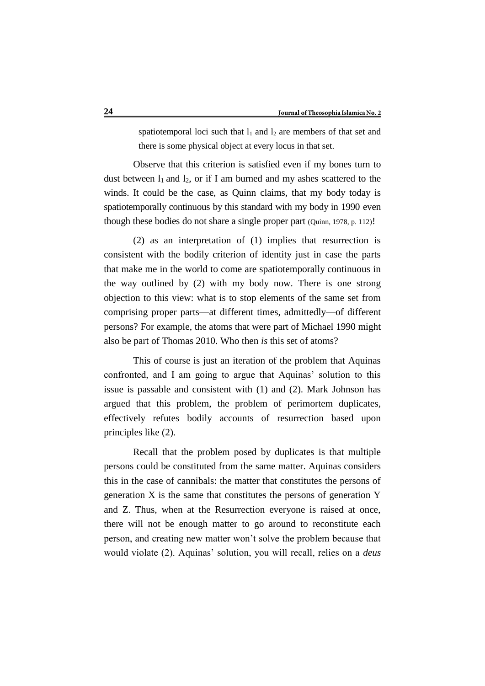spatiotemporal loci such that  $l_1$  and  $l_2$  are members of that set and there is some physical object at every locus in that set.

Observe that this criterion is satisfied even if my bones turn to dust between  $l_1$  and  $l_2$ , or if I am burned and my ashes scattered to the winds. It could be the case, as Quinn claims, that my body today is spatiotemporally continuous by this standard with my body in 1990 even though these bodies do not share a single proper part (Quinn, 1978, p. 112)!

(2) as an interpretation of (1) implies that resurrection is consistent with the bodily criterion of identity just in case the parts that make me in the world to come are spatiotemporally continuous in the way outlined by (2) with my body now. There is one strong objection to this view: what is to stop elements of the same set from comprising proper parts—at different times, admittedly—of different persons? For example, the atoms that were part of Michael 1990 might also be part of Thomas 2010. Who then *is* this set of atoms?

This of course is just an iteration of the problem that Aquinas confronted, and I am going to argue that Aquinas' solution to this issue is passable and consistent with (1) and (2). Mark Johnson has argued that this problem, the problem of perimortem duplicates, effectively refutes bodily accounts of resurrection based upon principles like (2).

Recall that the problem posed by duplicates is that multiple persons could be constituted from the same matter. Aquinas considers this in the case of cannibals: the matter that constitutes the persons of generation X is the same that constitutes the persons of generation Y and Z. Thus, when at the Resurrection everyone is raised at once, there will not be enough matter to go around to reconstitute each person, and creating new matter won't solve the problem because that would violate (2). Aquinas' solution, you will recall, relies on a *deus*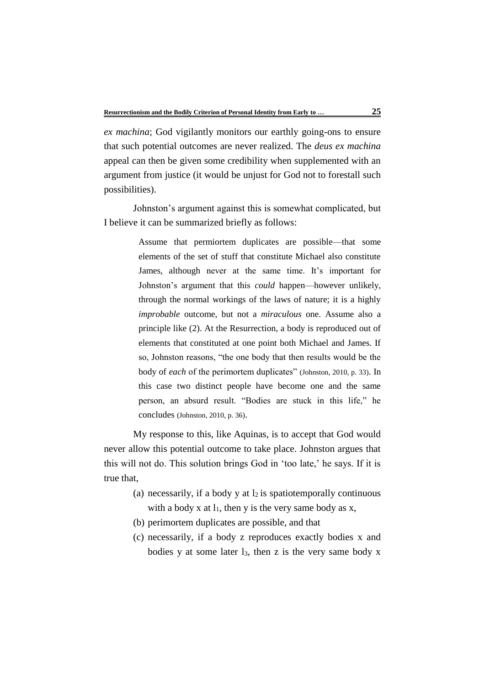*ex machina*; God vigilantly monitors our earthly going-ons to ensure that such potential outcomes are never realized. The *deus ex machina* appeal can then be given some credibility when supplemented with an argument from justice (it would be unjust for God not to forestall such possibilities).

Johnston's argument against this is somewhat complicated, but I believe it can be summarized briefly as follows:

> Assume that permiortem duplicates are possible—that some elements of the set of stuff that constitute Michael also constitute James, although never at the same time. It's important for Johnston's argument that this *could* happen—however unlikely, through the normal workings of the laws of nature; it is a highly *improbable* outcome, but not a *miraculous* one. Assume also a principle like (2). At the Resurrection, a body is reproduced out of elements that constituted at one point both Michael and James. If so, Johnston reasons, "the one body that then results would be the body of *each* of the perimortem duplicates" (Johnston, 2010, p. 33). In this case two distinct people have become one and the same person, an absurd result. "Bodies are stuck in this life," he concludes (Johnston, 2010, p. 36).

My response to this, like Aquinas, is to accept that God would never allow this potential outcome to take place. Johnston argues that this will not do. This solution brings God in 'too late,' he says. If it is true that,

- (a) necessarily, if a body y at  $l_2$  is spatiotemporally continuous with a body x at  $l_1$ , then y is the very same body as x,
- (b) perimortem duplicates are possible, and that
- (c) necessarily, if a body z reproduces exactly bodies x and bodies y at some later  $l_3$ , then z is the very same body x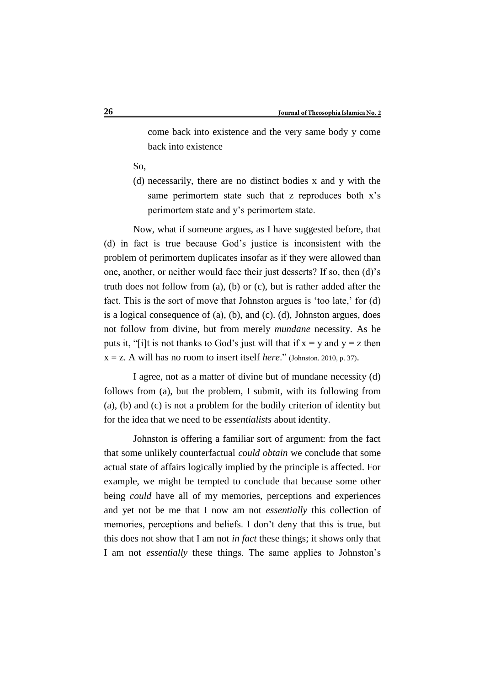come back into existence and the very same body y come back into existence

So,

(d) necessarily, there are no distinct bodies x and y with the same perimortem state such that z reproduces both x's perimortem state and y's perimortem state.

Now, what if someone argues, as I have suggested before, that (d) in fact is true because God's justice is inconsistent with the problem of perimortem duplicates insofar as if they were allowed than one, another, or neither would face their just desserts? If so, then (d)'s truth does not follow from (a), (b) or (c), but is rather added after the fact. This is the sort of move that Johnston argues is 'too late,' for (d) is a logical consequence of (a), (b), and (c). (d), Johnston argues, does not follow from divine, but from merely *mundane* necessity. As he puts it, "[i]t is not thanks to God's just will that if  $x = y$  and  $y = z$  then  $x = z$ . A will has no room to insert itself *here*." (Johnston. 2010, p. 37).

I agree, not as a matter of divine but of mundane necessity (d) follows from (a), but the problem, I submit, with its following from (a), (b) and (c) is not a problem for the bodily criterion of identity but for the idea that we need to be *essentialists* about identity.

Johnston is offering a familiar sort of argument: from the fact that some unlikely counterfactual *could obtain* we conclude that some actual state of affairs logically implied by the principle is affected. For example, we might be tempted to conclude that because some other being *could* have all of my memories, perceptions and experiences and yet not be me that I now am not *essentially* this collection of memories, perceptions and beliefs. I don't deny that this is true, but this does not show that I am not *in fact* these things; it shows only that I am not *essentially* these things. The same applies to Johnston's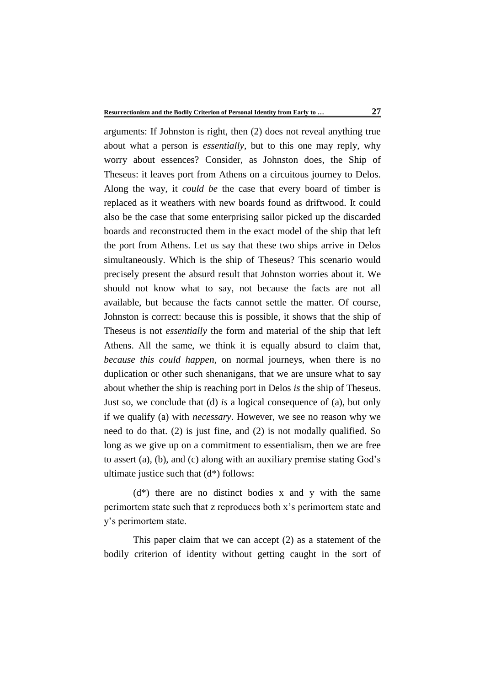arguments: If Johnston is right, then (2) does not reveal anything true about what a person is *essentially*, but to this one may reply, why worry about essences? Consider, as Johnston does, the Ship of Theseus: it leaves port from Athens on a circuitous journey to Delos. Along the way, it *could be* the case that every board of timber is replaced as it weathers with new boards found as driftwood. It could also be the case that some enterprising sailor picked up the discarded boards and reconstructed them in the exact model of the ship that left the port from Athens. Let us say that these two ships arrive in Delos simultaneously. Which is the ship of Theseus? This scenario would precisely present the absurd result that Johnston worries about it. We should not know what to say, not because the facts are not all available, but because the facts cannot settle the matter. Of course, Johnston is correct: because this is possible, it shows that the ship of Theseus is not *essentially* the form and material of the ship that left Athens. All the same, we think it is equally absurd to claim that, *because this could happen*, on normal journeys, when there is no duplication or other such shenanigans, that we are unsure what to say about whether the ship is reaching port in Delos *is* the ship of Theseus. Just so, we conclude that (d) *is* a logical consequence of (a), but only if we qualify (a) with *necessary*. However, we see no reason why we need to do that. (2) is just fine, and (2) is not modally qualified. So long as we give up on a commitment to essentialism, then we are free to assert (a), (b), and (c) along with an auxiliary premise stating God's ultimate justice such that (d\*) follows:

 $(d^*)$  there are no distinct bodies x and y with the same perimortem state such that z reproduces both x's perimortem state and y's perimortem state.

This paper claim that we can accept (2) as a statement of the bodily criterion of identity without getting caught in the sort of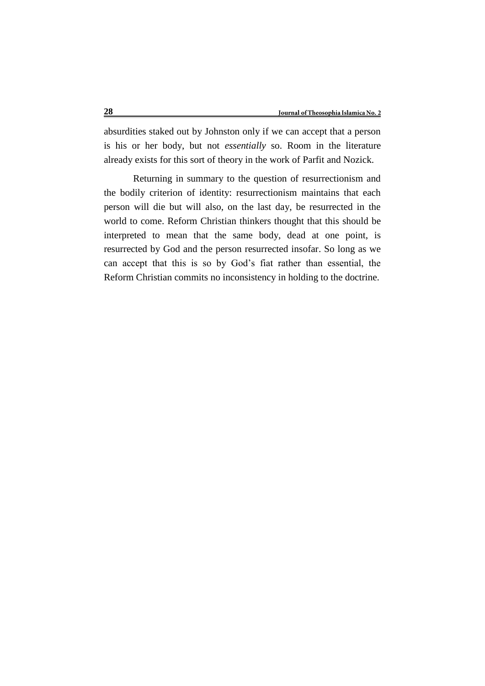absurdities staked out by Johnston only if we can accept that a person is his or her body, but not *essentially* so. Room in the literature already exists for this sort of theory in the work of Parfit and Nozick.

Returning in summary to the question of resurrectionism and the bodily criterion of identity: resurrectionism maintains that each person will die but will also, on the last day, be resurrected in the world to come. Reform Christian thinkers thought that this should be interpreted to mean that the same body, dead at one point, is resurrected by God and the person resurrected insofar. So long as we can accept that this is so by God's fiat rather than essential, the Reform Christian commits no inconsistency in holding to the doctrine.